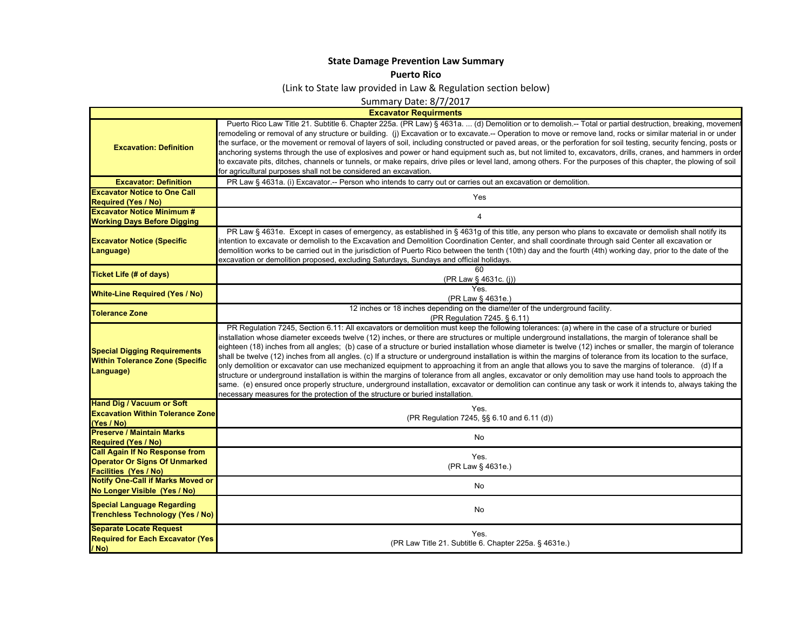## **State Damage Prevention Law Summar y**

## **Puerto Rico**

(Link to State law provided in Law & Regulation section below)

Summary Date: 8/7/2017

**Excavator Requirments**

 $\mathsf{L}$ 

|                                                                                            | <b>EAVATALUE INGUALITIOIRU</b>                                                                                                                                                                                                                                                                                                                                                                                                                                                                                                                                                                                                                                                                                                                                                                                                                                                                                                                                                                                                                                                                                                                                                                                          |
|--------------------------------------------------------------------------------------------|-------------------------------------------------------------------------------------------------------------------------------------------------------------------------------------------------------------------------------------------------------------------------------------------------------------------------------------------------------------------------------------------------------------------------------------------------------------------------------------------------------------------------------------------------------------------------------------------------------------------------------------------------------------------------------------------------------------------------------------------------------------------------------------------------------------------------------------------------------------------------------------------------------------------------------------------------------------------------------------------------------------------------------------------------------------------------------------------------------------------------------------------------------------------------------------------------------------------------|
| <b>Excavation: Definition</b>                                                              | Puerto Rico Law Title 21. Subtitle 6. Chapter 225a. (PR Law) § 4631a.  (d) Demolition or to demolish.-- Total or partial destruction, breaking, movement<br>remodeling or removal of any structure or building. (i) Excavation or to excavate.-- Operation to move or remove land, rocks or similar material in or under<br>the surface, or the movement or removal of layers of soil, including constructed or paved areas, or the perforation for soil testing, security fencing, posts or<br>anchoring systems through the use of explosives and power or hand equipment such as, but not limited to, excavators, drills, cranes, and hammers in order<br>to excavate pits, ditches, channels or tunnels, or make repairs, drive piles or level land, among others. For the purposes of this chapter, the plowing of soil<br>for agricultural purposes shall not be considered an excavation.                                                                                                                                                                                                                                                                                                                        |
| <b>Excavator: Definition</b>                                                               | PR Law § 4631a. (i) Excavator.-- Person who intends to carry out or carries out an excavation or demolition.                                                                                                                                                                                                                                                                                                                                                                                                                                                                                                                                                                                                                                                                                                                                                                                                                                                                                                                                                                                                                                                                                                            |
| <b>Excavator Notice to One Call</b>                                                        |                                                                                                                                                                                                                                                                                                                                                                                                                                                                                                                                                                                                                                                                                                                                                                                                                                                                                                                                                                                                                                                                                                                                                                                                                         |
| <b>Required (Yes / No)</b>                                                                 | Yes                                                                                                                                                                                                                                                                                                                                                                                                                                                                                                                                                                                                                                                                                                                                                                                                                                                                                                                                                                                                                                                                                                                                                                                                                     |
| <b>Excavator Notice Minimum #</b>                                                          |                                                                                                                                                                                                                                                                                                                                                                                                                                                                                                                                                                                                                                                                                                                                                                                                                                                                                                                                                                                                                                                                                                                                                                                                                         |
| <b>Working Days Before Digging</b>                                                         | 4                                                                                                                                                                                                                                                                                                                                                                                                                                                                                                                                                                                                                                                                                                                                                                                                                                                                                                                                                                                                                                                                                                                                                                                                                       |
| <b>Excavator Notice (Specific</b><br>Language)                                             | PR Law § 4631e. Except in cases of emergency, as established in § 4631g of this title, any person who plans to excavate or demolish shall notify its<br>intention to excavate or demolish to the Excavation and Demolition Coordination Center, and shall coordinate through said Center all excavation or<br>demolition works to be carried out in the jurisdiction of Puerto Rico between the tenth (10th) day and the fourth (4th) working day, prior to the date of the<br>excavation or demolition proposed, excluding Saturdays, Sundays and official holidays.                                                                                                                                                                                                                                                                                                                                                                                                                                                                                                                                                                                                                                                   |
| <b>Ticket Life (# of days)</b>                                                             | 60<br>(PR Law § 4631c. (j))                                                                                                                                                                                                                                                                                                                                                                                                                                                                                                                                                                                                                                                                                                                                                                                                                                                                                                                                                                                                                                                                                                                                                                                             |
|                                                                                            | Yes.                                                                                                                                                                                                                                                                                                                                                                                                                                                                                                                                                                                                                                                                                                                                                                                                                                                                                                                                                                                                                                                                                                                                                                                                                    |
| <b>White-Line Required (Yes / No)</b>                                                      | (PR Law § 4631e.)                                                                                                                                                                                                                                                                                                                                                                                                                                                                                                                                                                                                                                                                                                                                                                                                                                                                                                                                                                                                                                                                                                                                                                                                       |
|                                                                                            | 12 inches or 18 inches depending on the diame\ter of the underground facility.                                                                                                                                                                                                                                                                                                                                                                                                                                                                                                                                                                                                                                                                                                                                                                                                                                                                                                                                                                                                                                                                                                                                          |
| <b>Tolerance Zone</b>                                                                      | (PR Regulation 7245. § 6.11)                                                                                                                                                                                                                                                                                                                                                                                                                                                                                                                                                                                                                                                                                                                                                                                                                                                                                                                                                                                                                                                                                                                                                                                            |
| <b>Special Digging Requirements</b><br><b>Within Tolerance Zone (Specific</b><br>Language) | PR Requlation 7245, Section 6.11: All excavators or demolition must keep the following tolerances: (a) where in the case of a structure or buried<br>installation whose diameter exceeds twelve (12) inches, or there are structures or multiple underground installations, the margin of tolerance shall be<br>eighteen (18) inches from all angles; (b) case of a structure or buried installation whose diameter is twelve (12) inches or smaller, the margin of tolerance<br>shall be twelve (12) inches from all angles. (c) If a structure or underground installation is within the margins of tolerance from its location to the surface,<br>only demolition or excavator can use mechanized equipment to approaching it from an angle that allows you to save the margins of tolerance. (d) If a<br>structure or underground installation is within the margins of tolerance from all angles, excavator or only demolition may use hand tools to approach the<br>same. (e) ensured once properly structure, underground installation, excavator or demolition can continue any task or work it intends to, always taking the<br>necessary measures for the protection of the structure or buried installation. |
| <b>Hand Dig / Vacuum or Soft</b>                                                           | Yes.                                                                                                                                                                                                                                                                                                                                                                                                                                                                                                                                                                                                                                                                                                                                                                                                                                                                                                                                                                                                                                                                                                                                                                                                                    |
| <b>Excavation Within Tolerance Zone</b><br>(Yes / No)                                      | (PR Regulation 7245, §§ 6.10 and 6.11 (d))                                                                                                                                                                                                                                                                                                                                                                                                                                                                                                                                                                                                                                                                                                                                                                                                                                                                                                                                                                                                                                                                                                                                                                              |
| <b>Preserve / Maintain Marks</b><br><b>Required (Yes / No)</b>                             | <b>No</b>                                                                                                                                                                                                                                                                                                                                                                                                                                                                                                                                                                                                                                                                                                                                                                                                                                                                                                                                                                                                                                                                                                                                                                                                               |
| <b>Call Again If No Response from</b>                                                      | Yes.                                                                                                                                                                                                                                                                                                                                                                                                                                                                                                                                                                                                                                                                                                                                                                                                                                                                                                                                                                                                                                                                                                                                                                                                                    |
| <b>Operator Or Signs Of Unmarked</b>                                                       | (PR Law § 4631e.)                                                                                                                                                                                                                                                                                                                                                                                                                                                                                                                                                                                                                                                                                                                                                                                                                                                                                                                                                                                                                                                                                                                                                                                                       |
| <b>Facilities (Yes / No)</b>                                                               |                                                                                                                                                                                                                                                                                                                                                                                                                                                                                                                                                                                                                                                                                                                                                                                                                                                                                                                                                                                                                                                                                                                                                                                                                         |
| <b>Notify One-Call if Marks Moved or</b>                                                   | No                                                                                                                                                                                                                                                                                                                                                                                                                                                                                                                                                                                                                                                                                                                                                                                                                                                                                                                                                                                                                                                                                                                                                                                                                      |
| No Longer Visible (Yes / No)                                                               |                                                                                                                                                                                                                                                                                                                                                                                                                                                                                                                                                                                                                                                                                                                                                                                                                                                                                                                                                                                                                                                                                                                                                                                                                         |
| <b>Special Language Regarding</b><br><b>Trenchless Technology (Yes / No)</b>               | No                                                                                                                                                                                                                                                                                                                                                                                                                                                                                                                                                                                                                                                                                                                                                                                                                                                                                                                                                                                                                                                                                                                                                                                                                      |
| <b>Separate Locate Request</b><br><b>Required for Each Excavator (Yes)</b><br>/ No)        | Yes.<br>(PR Law Title 21. Subtitle 6. Chapter 225a. § 4631e.)                                                                                                                                                                                                                                                                                                                                                                                                                                                                                                                                                                                                                                                                                                                                                                                                                                                                                                                                                                                                                                                                                                                                                           |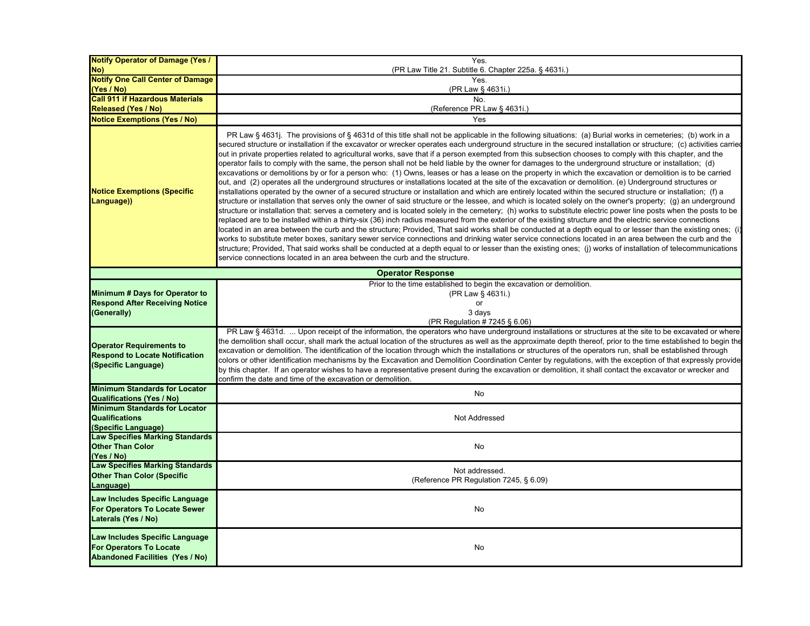| <b>Notify Operator of Damage (Yes /</b>                                                                                  | Yes.                                                                                                                                                                                                                                                                                                                                                                                                                                                                                                                                                                                                                                                                                                                                                                                                                                                                                                                                                                                                                                                                                                                                                                                                                                                                                                                                                                                                                                                                                                                                                                                                                                                                                                                                                                                                                                                                                                                                                                                                                                                                                                                                                                                                                          |
|--------------------------------------------------------------------------------------------------------------------------|-------------------------------------------------------------------------------------------------------------------------------------------------------------------------------------------------------------------------------------------------------------------------------------------------------------------------------------------------------------------------------------------------------------------------------------------------------------------------------------------------------------------------------------------------------------------------------------------------------------------------------------------------------------------------------------------------------------------------------------------------------------------------------------------------------------------------------------------------------------------------------------------------------------------------------------------------------------------------------------------------------------------------------------------------------------------------------------------------------------------------------------------------------------------------------------------------------------------------------------------------------------------------------------------------------------------------------------------------------------------------------------------------------------------------------------------------------------------------------------------------------------------------------------------------------------------------------------------------------------------------------------------------------------------------------------------------------------------------------------------------------------------------------------------------------------------------------------------------------------------------------------------------------------------------------------------------------------------------------------------------------------------------------------------------------------------------------------------------------------------------------------------------------------------------------------------------------------------------------|
| No)<br><b>Notify One Call Center of Damage</b>                                                                           | (PR Law Title 21. Subtitle 6. Chapter 225a. § 4631i.)<br>Yes.                                                                                                                                                                                                                                                                                                                                                                                                                                                                                                                                                                                                                                                                                                                                                                                                                                                                                                                                                                                                                                                                                                                                                                                                                                                                                                                                                                                                                                                                                                                                                                                                                                                                                                                                                                                                                                                                                                                                                                                                                                                                                                                                                                 |
| (Yes / No)                                                                                                               | (PR Law § 4631i.)                                                                                                                                                                                                                                                                                                                                                                                                                                                                                                                                                                                                                                                                                                                                                                                                                                                                                                                                                                                                                                                                                                                                                                                                                                                                                                                                                                                                                                                                                                                                                                                                                                                                                                                                                                                                                                                                                                                                                                                                                                                                                                                                                                                                             |
| <b>Call 911 if Hazardous Materials</b>                                                                                   | No.                                                                                                                                                                                                                                                                                                                                                                                                                                                                                                                                                                                                                                                                                                                                                                                                                                                                                                                                                                                                                                                                                                                                                                                                                                                                                                                                                                                                                                                                                                                                                                                                                                                                                                                                                                                                                                                                                                                                                                                                                                                                                                                                                                                                                           |
| <b>Released (Yes / No)</b>                                                                                               | (Reference PR Law § 4631i.)                                                                                                                                                                                                                                                                                                                                                                                                                                                                                                                                                                                                                                                                                                                                                                                                                                                                                                                                                                                                                                                                                                                                                                                                                                                                                                                                                                                                                                                                                                                                                                                                                                                                                                                                                                                                                                                                                                                                                                                                                                                                                                                                                                                                   |
| <b>Notice Exemptions (Yes / No)</b>                                                                                      | Yes                                                                                                                                                                                                                                                                                                                                                                                                                                                                                                                                                                                                                                                                                                                                                                                                                                                                                                                                                                                                                                                                                                                                                                                                                                                                                                                                                                                                                                                                                                                                                                                                                                                                                                                                                                                                                                                                                                                                                                                                                                                                                                                                                                                                                           |
| <b>Notice Exemptions (Specific</b><br>Language))                                                                         | PR Law § 4631j. The provisions of § 4631d of this title shall not be applicable in the following situations: (a) Burial works in cemeteries; (b) work in a<br>secured structure or installation if the excavator or wrecker operates each underground structure in the secured installation or structure; (c) activities carried<br>out in private properties related to agricultural works, save that if a person exempted from this subsection chooses to comply with this chapter, and the<br>operator fails to comply with the same, the person shall not be held liable by the owner for damages to the underground structure or installation; (d)<br>excavations or demolitions by or for a person who: (1) Owns, leases or has a lease on the property in which the excavation or demolition is to be carried<br>out, and (2) operates all the underground structures or installations located at the site of the excavation or demolition. (e) Underground structures or<br>installations operated by the owner of a secured structure or installation and which are entirely located within the secured structure or installation; (f) a<br>structure or installation that serves only the owner of said structure or the lessee, and which is located solely on the owner's property; (g) an underground<br>structure or installation that: serves a cemetery and is located solely in the cemetery; (h) works to substitute electric power line posts when the posts to be<br>replaced are to be installed within a thirty-six (36) inch radius measured from the exterior of the existing structure and the electric service connections<br>located in an area between the curb and the structure; Provided, That said works shall be conducted at a depth equal to or lesser than the existing ones; (i<br>works to substitute meter boxes, sanitary sewer service connections and drinking water service connections located in an area between the curb and the<br>structure; Provided, That said works shall be conducted at a depth equal to or lesser than the existing ones; (i) works of installation of telecommunications<br>service connections located in an area between the curb and the structure. |
|                                                                                                                          | <b>Operator Response</b>                                                                                                                                                                                                                                                                                                                                                                                                                                                                                                                                                                                                                                                                                                                                                                                                                                                                                                                                                                                                                                                                                                                                                                                                                                                                                                                                                                                                                                                                                                                                                                                                                                                                                                                                                                                                                                                                                                                                                                                                                                                                                                                                                                                                      |
| Minimum # Days for Operator to<br><b>Respond After Receiving Notice</b><br>(Generally)                                   | Prior to the time established to begin the excavation or demolition.<br>(PR Law § 4631i.)<br>or<br>3 days<br>(PR Regulation # 7245 § 6.06)                                                                                                                                                                                                                                                                                                                                                                                                                                                                                                                                                                                                                                                                                                                                                                                                                                                                                                                                                                                                                                                                                                                                                                                                                                                                                                                                                                                                                                                                                                                                                                                                                                                                                                                                                                                                                                                                                                                                                                                                                                                                                    |
| <b>Operator Requirements to</b><br><b>Respond to Locate Notification</b><br>(Specific Language)                          | PR Law § 4631d.  Upon receipt of the information, the operators who have underground installations or structures at the site to be excavated or where<br>the demolition shall occur, shall mark the actual location of the structures as well as the approximate depth thereof, prior to the time established to begin the<br>excavation or demolition. The identification of the location through which the installations or structures of the operators run, shall be established through<br>colors or other identification mechanisms by the Excavation and Demolition Coordination Center by regulations, with the exception of that expressly provide<br>by this chapter. If an operator wishes to have a representative present during the excavation or demolition, it shall contact the excavator or wrecker and<br>confirm the date and time of the excavation or demolition.                                                                                                                                                                                                                                                                                                                                                                                                                                                                                                                                                                                                                                                                                                                                                                                                                                                                                                                                                                                                                                                                                                                                                                                                                                                                                                                                        |
| <b>Minimum Standards for Locator</b>                                                                                     | No                                                                                                                                                                                                                                                                                                                                                                                                                                                                                                                                                                                                                                                                                                                                                                                                                                                                                                                                                                                                                                                                                                                                                                                                                                                                                                                                                                                                                                                                                                                                                                                                                                                                                                                                                                                                                                                                                                                                                                                                                                                                                                                                                                                                                            |
| <b>Qualifications (Yes / No)</b><br><b>Minimum Standards for Locator</b><br><b>Qualifications</b><br>(Specific Language) | Not Addressed                                                                                                                                                                                                                                                                                                                                                                                                                                                                                                                                                                                                                                                                                                                                                                                                                                                                                                                                                                                                                                                                                                                                                                                                                                                                                                                                                                                                                                                                                                                                                                                                                                                                                                                                                                                                                                                                                                                                                                                                                                                                                                                                                                                                                 |
| <b>Law Specifies Marking Standards</b><br><b>Other Than Color</b><br>(Yes / No)                                          | No                                                                                                                                                                                                                                                                                                                                                                                                                                                                                                                                                                                                                                                                                                                                                                                                                                                                                                                                                                                                                                                                                                                                                                                                                                                                                                                                                                                                                                                                                                                                                                                                                                                                                                                                                                                                                                                                                                                                                                                                                                                                                                                                                                                                                            |
| <b>Law Specifies Marking Standards</b><br><b>Other Than Color (Specific</b><br>Language)                                 | Not addressed.<br>(Reference PR Regulation 7245, § 6.09)                                                                                                                                                                                                                                                                                                                                                                                                                                                                                                                                                                                                                                                                                                                                                                                                                                                                                                                                                                                                                                                                                                                                                                                                                                                                                                                                                                                                                                                                                                                                                                                                                                                                                                                                                                                                                                                                                                                                                                                                                                                                                                                                                                      |
| Law Includes Specific Language<br>For Operators To Locate Sewer<br>Laterals (Yes / No)                                   | No                                                                                                                                                                                                                                                                                                                                                                                                                                                                                                                                                                                                                                                                                                                                                                                                                                                                                                                                                                                                                                                                                                                                                                                                                                                                                                                                                                                                                                                                                                                                                                                                                                                                                                                                                                                                                                                                                                                                                                                                                                                                                                                                                                                                                            |
| Law Includes Specific Language<br><b>For Operators To Locate</b><br><b>Abandoned Facilities (Yes / No)</b>               | No                                                                                                                                                                                                                                                                                                                                                                                                                                                                                                                                                                                                                                                                                                                                                                                                                                                                                                                                                                                                                                                                                                                                                                                                                                                                                                                                                                                                                                                                                                                                                                                                                                                                                                                                                                                                                                                                                                                                                                                                                                                                                                                                                                                                                            |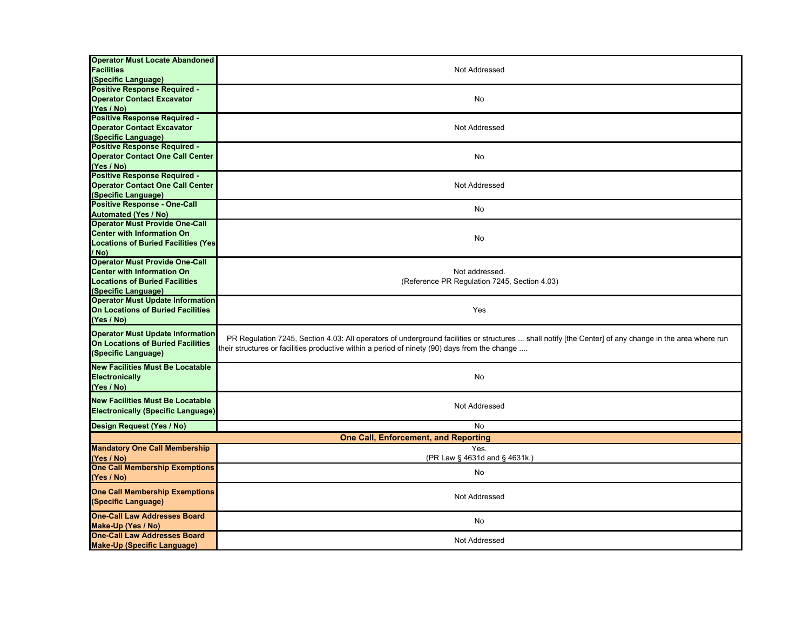| <b>Operator Must Locate Abandoned</b><br><b>Facilities</b><br>(Specific Language)                                                          | Not Addressed                                                                                                                                                                                                                                           |
|--------------------------------------------------------------------------------------------------------------------------------------------|---------------------------------------------------------------------------------------------------------------------------------------------------------------------------------------------------------------------------------------------------------|
| <b>Positive Response Required -</b><br><b>Operator Contact Excavator</b><br>(Yes / No)                                                     | No                                                                                                                                                                                                                                                      |
| <b>Positive Response Required -</b><br><b>Operator Contact Excavator</b><br>(Specific Language)                                            | Not Addressed                                                                                                                                                                                                                                           |
| <b>Positive Response Required -</b><br><b>Operator Contact One Call Center</b><br>(Yes / No)                                               | No                                                                                                                                                                                                                                                      |
| <b>Positive Response Required -</b><br><b>Operator Contact One Call Center</b><br>(Specific Language)                                      | Not Addressed                                                                                                                                                                                                                                           |
| <b>Positive Response - One-Call</b><br><b>Automated (Yes / No)</b>                                                                         | No                                                                                                                                                                                                                                                      |
| <b>Operator Must Provide One-Call</b><br><b>Center with Information On</b><br><b>Locations of Buried Facilities (Yes)</b><br>/ No)         | No                                                                                                                                                                                                                                                      |
| <b>Operator Must Provide One-Call</b><br><b>Center with Information On</b><br><b>Locations of Buried Facilities</b><br>(Specific Language) | Not addressed.<br>(Reference PR Regulation 7245, Section 4.03)                                                                                                                                                                                          |
| <b>Operator Must Update Information</b><br>On Locations of Buried Facilities<br>(Yes / No)                                                 | Yes                                                                                                                                                                                                                                                     |
| <b>Operator Must Update Information</b><br>On Locations of Buried Facilities<br>(Specific Language)                                        | PR Regulation 7245, Section 4.03: All operators of underground facilities or structures  shall notify [the Center] of any change in the area where run<br>their structures or facilities productive within a period of ninety (90) days from the change |
| <b>New Facilities Must Be Locatable</b><br>Electronically<br>(Yes / No)                                                                    | No                                                                                                                                                                                                                                                      |
| <b>New Facilities Must Be Locatable</b><br><b>Electronically (Specific Language)</b>                                                       | Not Addressed                                                                                                                                                                                                                                           |
| Design Request (Yes / No)                                                                                                                  | No                                                                                                                                                                                                                                                      |
|                                                                                                                                            | <b>One Call, Enforcement, and Reporting</b>                                                                                                                                                                                                             |
| <b>Mandatory One Call Membership</b><br>(Yes / No)                                                                                         | Yes.<br>(PR Law § 4631d and § 4631k.)                                                                                                                                                                                                                   |
| <b>One Call Membership Exemptions</b><br>(Yes / No)                                                                                        | No                                                                                                                                                                                                                                                      |
| <b>One Call Membership Exemptions</b><br>(Specific Language)                                                                               | Not Addressed                                                                                                                                                                                                                                           |
| <b>One-Call Law Addresses Board</b><br>Make-Up (Yes / No)                                                                                  | No                                                                                                                                                                                                                                                      |
| <b>One-Call Law Addresses Board</b><br><b>Make-Up (Specific Language)</b>                                                                  | Not Addressed                                                                                                                                                                                                                                           |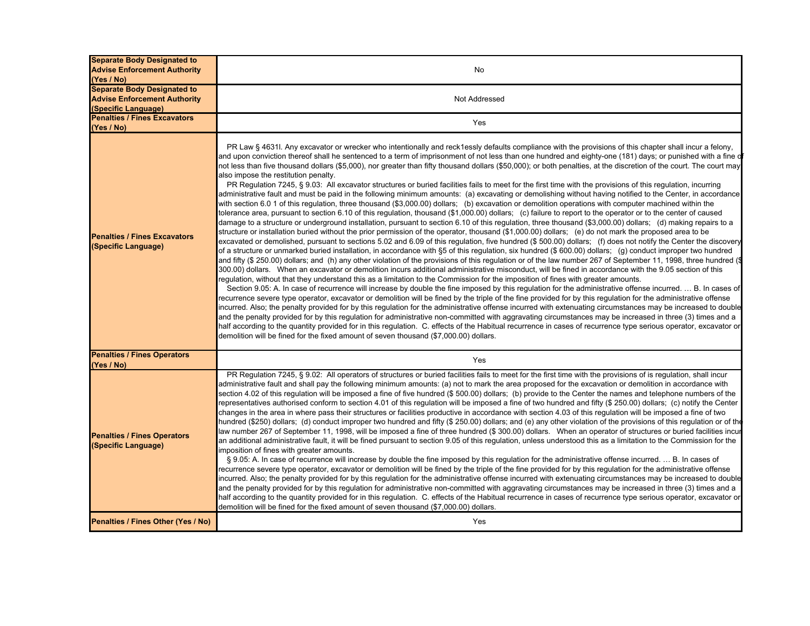| <b>Separate Body Designated to</b><br><b>Advise Enforcement Authority</b><br>(Yes / No)          | No                                                                                                                                                                                                                                                                                                                                                                                                                                                                                                                                                                                                                                                                                                                                                                                                                                                                                                                                                                                                                                                                                                                                                                                                                                                                                                                                                                                                                                                                                                                                                                                                                                                                                                                                                                                                                                                                                                                                                                                                                                                                                                                                                                                                                                                                                                                                                                                                                                                                                                                                                                                                                                                                                                                                                                                                                                                                                                                                                                                                                                                                                                                                                                                                                                                    |
|--------------------------------------------------------------------------------------------------|-------------------------------------------------------------------------------------------------------------------------------------------------------------------------------------------------------------------------------------------------------------------------------------------------------------------------------------------------------------------------------------------------------------------------------------------------------------------------------------------------------------------------------------------------------------------------------------------------------------------------------------------------------------------------------------------------------------------------------------------------------------------------------------------------------------------------------------------------------------------------------------------------------------------------------------------------------------------------------------------------------------------------------------------------------------------------------------------------------------------------------------------------------------------------------------------------------------------------------------------------------------------------------------------------------------------------------------------------------------------------------------------------------------------------------------------------------------------------------------------------------------------------------------------------------------------------------------------------------------------------------------------------------------------------------------------------------------------------------------------------------------------------------------------------------------------------------------------------------------------------------------------------------------------------------------------------------------------------------------------------------------------------------------------------------------------------------------------------------------------------------------------------------------------------------------------------------------------------------------------------------------------------------------------------------------------------------------------------------------------------------------------------------------------------------------------------------------------------------------------------------------------------------------------------------------------------------------------------------------------------------------------------------------------------------------------------------------------------------------------------------------------------------------------------------------------------------------------------------------------------------------------------------------------------------------------------------------------------------------------------------------------------------------------------------------------------------------------------------------------------------------------------------------------------------------------------------------------------------------------------------|
| <b>Separate Body Designated to</b><br><b>Advise Enforcement Authority</b><br>(Specific Language) | Not Addressed                                                                                                                                                                                                                                                                                                                                                                                                                                                                                                                                                                                                                                                                                                                                                                                                                                                                                                                                                                                                                                                                                                                                                                                                                                                                                                                                                                                                                                                                                                                                                                                                                                                                                                                                                                                                                                                                                                                                                                                                                                                                                                                                                                                                                                                                                                                                                                                                                                                                                                                                                                                                                                                                                                                                                                                                                                                                                                                                                                                                                                                                                                                                                                                                                                         |
| <b>Penalties / Fines Excavators</b><br>(Yes / No)                                                | Yes                                                                                                                                                                                                                                                                                                                                                                                                                                                                                                                                                                                                                                                                                                                                                                                                                                                                                                                                                                                                                                                                                                                                                                                                                                                                                                                                                                                                                                                                                                                                                                                                                                                                                                                                                                                                                                                                                                                                                                                                                                                                                                                                                                                                                                                                                                                                                                                                                                                                                                                                                                                                                                                                                                                                                                                                                                                                                                                                                                                                                                                                                                                                                                                                                                                   |
| <b>Penalties / Fines Excavators</b><br>(Specific Language)                                       | PR Law § 4631I. Any excavator or wrecker who intentionally and reck1essly defaults compliance with the provisions of this chapter shall incur a felony,<br>and upon conviction thereof shall he sentenced to a term of imprisonment of not less than one hundred and eighty-one (181) days; or punished with a fine o<br>not less than five thousand dollars (\$5,000), nor greater than fifty thousand dollars (\$50,000); or both penalties, at the discretion of the court. The court may<br>also impose the restitution penalty.<br>PR Regulation 7245, § 9.03: All excavator structures or buried facilities fails to meet for the first time with the provisions of this regulation, incurring<br>administrative fault and must be paid in the following minimum amounts: (a) excavating or demolishing without having notified to the Center, in accordance<br>with section 6.0 1 of this regulation, three thousand (\$3,000.00) dollars; (b) excavation or demolition operations with computer machined within the<br>tolerance area, pursuant to section 6.10 of this regulation, thousand (\$1,000.00) dollars; (c) failure to report to the operator or to the center of caused<br>damage to a structure or underground installation, pursuant to section 6.10 of this regulation, three thousand (\$3,000.00) dollars; (d) making repairs to a<br>structure or installation buried without the prior permission of the operator, thousand (\$1,000.00) dollars; (e) do not mark the proposed area to be<br>excavated or demolished, pursuant to sections 5.02 and 6.09 of this regulation, five hundred (\$ 500.00) dollars; (f) does not notify the Center the discovery<br>of a structure or unmarked buried installation, in accordance with §5 of this regulation, six hundred (\$ 600.00) dollars; (g) conduct improper two hundred<br>and fifty (\$ 250.00) dollars; and (h) any other violation of the provisions of this regulation or of the law number 267 of September 11, 1998, three hundred (§<br>300.00) dollars. When an excavator or demolition incurs additional administrative misconduct, will be fined in accordance with the 9.05 section of this<br>regulation, without that they understand this as a limitation to the Commission for the imposition of fines with greater amounts.<br>Section 9.05: A. In case of recurrence will increase by double the fine imposed by this regulation for the administrative offense incurred.  B. In cases of<br>ecurrence severe type operator, excavator or demolition will be fined by the triple of the fine provided for by this regulation for the administrative offense<br>incurred. Also; the penalty provided for by this regulation for the administrative offense incurred with extenuating circumstances may be increased to double<br>and the penalty provided for by this regulation for administrative non-committed with aggravating circumstances may be increased in three (3) times and a<br>half according to the quantity provided for in this requlation. C. effects of the Habitual recurrence in cases of recurrence type serious operator, excavator or<br>demolition will be fined for the fixed amount of seven thousand (\$7,000.00) dollars. |
| <b>Penalties / Fines Operators</b><br>(Yes / No)                                                 | Yes                                                                                                                                                                                                                                                                                                                                                                                                                                                                                                                                                                                                                                                                                                                                                                                                                                                                                                                                                                                                                                                                                                                                                                                                                                                                                                                                                                                                                                                                                                                                                                                                                                                                                                                                                                                                                                                                                                                                                                                                                                                                                                                                                                                                                                                                                                                                                                                                                                                                                                                                                                                                                                                                                                                                                                                                                                                                                                                                                                                                                                                                                                                                                                                                                                                   |
| <b>Penalties / Fines Operators</b><br>(Specific Language)                                        | PR Regulation 7245, § 9.02: All operators of structures or buried facilities fails to meet for the first time with the provisions of is regulation, shall incur<br>administrative fault and shall pay the following minimum amounts: (a) not to mark the area proposed for the excavation or demolition in accordance with<br>section 4.02 of this regulation will be imposed a fine of five hundred (\$ 500.00) dollars; (b) provide to the Center the names and telephone numbers of the<br>representatives authorised conform to section 4.01 of this requlation will be imposed a fine of two hundred and fifty (\$ 250.00) dollars; (c) notify the Center<br>changes in the area in where pass their structures or facilities productive in accordance with section 4.03 of this regulation will be imposed a fine of two<br>hundred (\$250) dollars; (d) conduct improper two hundred and fifty (\$ 250.00) dollars; and (e) any other violation of the provisions of this requlation or of the<br>law number 267 of September 11, 1998, will be imposed a fine of three hundred (\$ 300.00) dollars. When an operator of structures or buried facilities incur<br>an additional administrative fault, it will be fined pursuant to section 9.05 of this regulation, unless understood this as a limitation to the Commission for the<br>imposition of fines with greater amounts.<br>§ 9.05: A. In case of recurrence will increase by double the fine imposed by this regulation for the administrative offense incurred.  B. In cases of<br>recurrence severe type operator, excavator or demolition will be fined by the triple of the fine provided for by this regulation for the administrative offense<br>ncurred. Also; the penalty provided for by this regulation for the administrative offense incurred with extenuating circumstances may be increased to double<br>and the penalty provided for by this regulation for administrative non-committed with aggravating circumstances may be increased in three (3) times and a<br>half according to the quantity provided for in this regulation. C. effects of the Habitual recurrence in cases of recurrence type serious operator, excavator or<br>demolition will be fined for the fixed amount of seven thousand (\$7,000.00) dollars.                                                                                                                                                                                                                                                                                                                                                                                                                                                                                                                                                                                                                                                                                                                                                                                                                                                                                                                                        |
| Penalties / Fines Other (Yes / No)                                                               | Yes                                                                                                                                                                                                                                                                                                                                                                                                                                                                                                                                                                                                                                                                                                                                                                                                                                                                                                                                                                                                                                                                                                                                                                                                                                                                                                                                                                                                                                                                                                                                                                                                                                                                                                                                                                                                                                                                                                                                                                                                                                                                                                                                                                                                                                                                                                                                                                                                                                                                                                                                                                                                                                                                                                                                                                                                                                                                                                                                                                                                                                                                                                                                                                                                                                                   |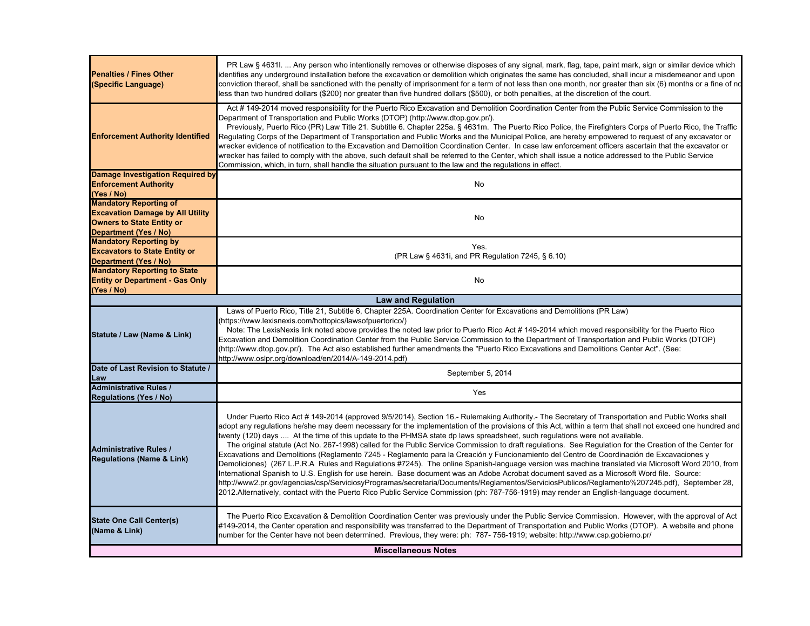| <b>Penalties / Fines Other</b><br>(Specific Language)                                                                                 | PR Law § 4631I.  Any person who intentionally removes or otherwise disposes of any signal, mark, flag, tape, paint mark, sign or similar device which<br>identifies any underground installation before the excavation or demolition which originates the same has concluded, shall incur a misdemeanor and upon<br>conviction thereof, shall be sanctioned with the penalty of imprisonment for a term of not less than one month, nor greater than six (6) months or a fine of nd<br>less than two hundred dollars (\$200) nor greater than five hundred dollars (\$500), or both penalties, at the discretion of the court.                                                                                                                                                                                                                                                                                                                                                                                                                                                                                                                                                                                                                                                                                                                  |
|---------------------------------------------------------------------------------------------------------------------------------------|-------------------------------------------------------------------------------------------------------------------------------------------------------------------------------------------------------------------------------------------------------------------------------------------------------------------------------------------------------------------------------------------------------------------------------------------------------------------------------------------------------------------------------------------------------------------------------------------------------------------------------------------------------------------------------------------------------------------------------------------------------------------------------------------------------------------------------------------------------------------------------------------------------------------------------------------------------------------------------------------------------------------------------------------------------------------------------------------------------------------------------------------------------------------------------------------------------------------------------------------------------------------------------------------------------------------------------------------------|
| <b>Enforcement Authority Identified</b>                                                                                               | Act #149-2014 moved responsibility for the Puerto Rico Excavation and Demolition Coordination Center from the Public Service Commission to the<br>Department of Transportation and Public Works (DTOP) (http://www.dtop.gov.pr/).<br>Previously, Puerto Rico (PR) Law Title 21. Subtitle 6. Chapter 225a. § 4631m. The Puerto Rico Police, the Firefighters Corps of Puerto Rico, the Traffic<br>Regulating Corps of the Department of Transportation and Public Works and the Municipal Police, are hereby empowered to request of any excavator or<br>wrecker evidence of notification to the Excavation and Demolition Coordination Center. In case law enforcement officers ascertain that the excavator or<br>wrecker has failed to comply with the above, such default shall be referred to the Center, which shall issue a notice addressed to the Public Service<br>Commission, which, in turn, shall handle the situation pursuant to the law and the regulations in effect.                                                                                                                                                                                                                                                                                                                                                           |
| <b>Damage Investigation Required by</b><br><b>Enforcement Authority</b><br>(Yes / No)                                                 | No                                                                                                                                                                                                                                                                                                                                                                                                                                                                                                                                                                                                                                                                                                                                                                                                                                                                                                                                                                                                                                                                                                                                                                                                                                                                                                                                              |
| <b>Mandatory Reporting of</b><br><b>Excavation Damage by All Utility</b><br><b>Owners to State Entity or</b><br>Department (Yes / No) | No                                                                                                                                                                                                                                                                                                                                                                                                                                                                                                                                                                                                                                                                                                                                                                                                                                                                                                                                                                                                                                                                                                                                                                                                                                                                                                                                              |
| <b>Mandatory Reporting by</b><br><b>Excavators to State Entity or</b><br>Department (Yes / No)                                        | Yes.<br>(PR Law § 4631i, and PR Regulation 7245, § 6.10)                                                                                                                                                                                                                                                                                                                                                                                                                                                                                                                                                                                                                                                                                                                                                                                                                                                                                                                                                                                                                                                                                                                                                                                                                                                                                        |
| <b>Mandatory Reporting to State</b><br><b>Entity or Department - Gas Only</b><br>(Yes / No)                                           | No                                                                                                                                                                                                                                                                                                                                                                                                                                                                                                                                                                                                                                                                                                                                                                                                                                                                                                                                                                                                                                                                                                                                                                                                                                                                                                                                              |
|                                                                                                                                       | <b>Law and Regulation</b>                                                                                                                                                                                                                                                                                                                                                                                                                                                                                                                                                                                                                                                                                                                                                                                                                                                                                                                                                                                                                                                                                                                                                                                                                                                                                                                       |
| Statute / Law (Name & Link)                                                                                                           | Laws of Puerto Rico, Title 21, Subtitle 6, Chapter 225A. Coordination Center for Excavations and Demolitions (PR Law)<br>(https://www.lexisnexis.com/hottopics/lawsofpuertorico/)<br>Note: The LexisNexis link noted above provides the noted law prior to Puerto Rico Act #149-2014 which moved responsibility for the Puerto Rico<br>Excavation and Demolition Coordination Center from the Public Service Commission to the Department of Transportation and Public Works (DTOP)<br>(http://www.dtop.gov.pr/). The Act also established further amendments the "Puerto Rico Excavations and Demolitions Center Act". (See:<br>http://www.oslpr.org/download/en/2014/A-149-2014.pdf)                                                                                                                                                                                                                                                                                                                                                                                                                                                                                                                                                                                                                                                          |
| Date of Last Revision to Statute /<br>Law                                                                                             | September 5, 2014                                                                                                                                                                                                                                                                                                                                                                                                                                                                                                                                                                                                                                                                                                                                                                                                                                                                                                                                                                                                                                                                                                                                                                                                                                                                                                                               |
| <b>Administrative Rules /</b><br><b>Regulations (Yes / No)</b>                                                                        | Yes                                                                                                                                                                                                                                                                                                                                                                                                                                                                                                                                                                                                                                                                                                                                                                                                                                                                                                                                                                                                                                                                                                                                                                                                                                                                                                                                             |
| <b>Administrative Rules /</b><br><b>Regulations (Name &amp; Link)</b>                                                                 | Under Puerto Rico Act # 149-2014 (approved 9/5/2014), Section 16.- Rulemaking Authority.- The Secretary of Transportation and Public Works shall<br>adopt any regulations he/she may deem necessary for the implementation of the provisions of this Act, within a term that shall not exceed one hundred and<br>twenty (120) days  At the time of this update to the PHMSA state dp laws spreadsheet, such regulations were not available.<br>The original statute (Act No. 267-1998) called for the Public Service Commission to draft regulations. See Regulation for the Creation of the Center for<br>Excavations and Demolitions (Reglamento 7245 - Reglamento para la Creación y Funcionamiento del Centro de Coordinación de Excavaciones y<br>Demoliciones) (267 L.P.R.A Rules and Regulations #7245). The online Spanish-language version was machine translated via Microsoft Word 2010, from<br>International Spanish to U.S. English for use herein. Base document was an Adobe Acrobat document saved as a Microsoft Word file. Source:<br>http://www2.pr.gov/agencias/csp/ServiciosyProgramas/secretaria/Documents/Reglamentos/ServiciosPublicos/Reglamento%207245.pdf), September 28,<br>2012.Alternatively, contact with the Puerto Rico Public Service Commission (ph: 787-756-1919) may render an English-language document. |
| <b>State One Call Center(s)</b><br>(Name & Link)                                                                                      | The Puerto Rico Excavation & Demolition Coordination Center was previously under the Public Service Commission. However, with the approval of Act<br>#149-2014, the Center operation and responsibility was transferred to the Department of Transportation and Public Works (DTOP). A website and phone<br>number for the Center have not been determined. Previous, they were: ph: 787-756-1919; website: http://www.csp.gobierno.pr/                                                                                                                                                                                                                                                                                                                                                                                                                                                                                                                                                                                                                                                                                                                                                                                                                                                                                                         |
|                                                                                                                                       | <b>Miscellaneous Notes</b>                                                                                                                                                                                                                                                                                                                                                                                                                                                                                                                                                                                                                                                                                                                                                                                                                                                                                                                                                                                                                                                                                                                                                                                                                                                                                                                      |